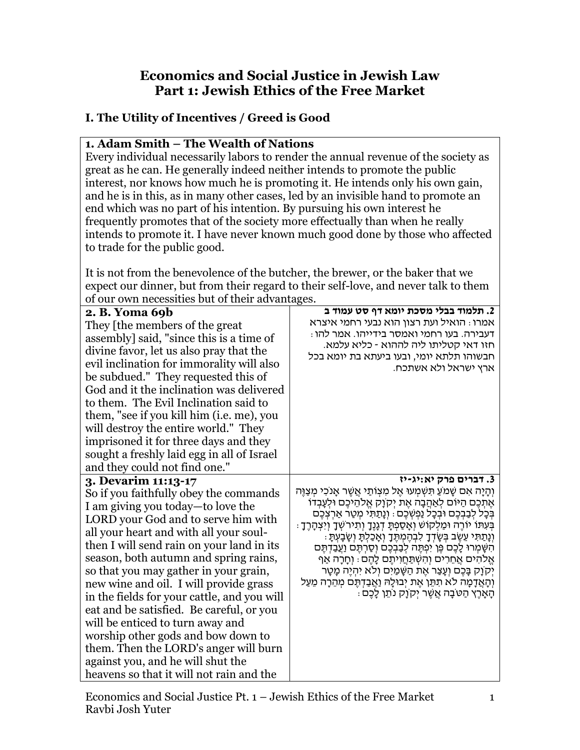## **Economics and Social Justice in Jewish Law Part 1: Jewish Ethics of the Free Market**

# **I. The Utility of Incentives / Greed is Good**

#### **1. Adam Smith – The Wealth of Nations**

Every individual necessarily labors to render the annual revenue of the society as great as he can. He generally indeed neither intends to promote the public interest, nor knows how much he is promoting it. He intends only his own gain, and he is in this, as in many other cases, led by an invisible hand to promote an end which was no part of his intention. By pursuing his own interest he frequently promotes that of the society more effectually than when he really intends to promote it. I have never known much good done by those who affected to trade for the public good.

It is not from the benevolence of the butcher, the brewer, or the baker that we expect our dinner, but from their regard to their self-love, and never talk to them of our own necessities but of their advantages.

| 2. B. Yoma 69b<br>They [the members of the great<br>assembly] said, "since this is a time of<br>divine favor, let us also pray that the<br>evil inclination for immorality will also<br>be subdued." They requested this of<br>God and it the inclination was delivered<br>to them. The Evil Inclination said to<br>them, "see if you kill him (i.e. me), you<br>will destroy the entire world." They<br>imprisoned it for three days and they<br>sought a freshly laid egg in all of Israel<br>and they could not find one."                                                                                                                               | 2. תלמוד בבלי מסכת יומא דף סט עמוד ב<br>אמרו: הואיל ועת רצון הוא נבעי רחמי איצרא<br>דעבירה. בעו רחמי ואמסר בידייהו. אמר להו :<br>חזו דאי קטליתו ליה לההוא - כליא עלמא.<br>חבשוהו תלתא יומי, ובעו ביעתא בת יומא בכל<br>ארץ ישראל ולא אשתכח.                                                                                                                                                                                                                                                                                                                                                                                                                                                                     |
|-------------------------------------------------------------------------------------------------------------------------------------------------------------------------------------------------------------------------------------------------------------------------------------------------------------------------------------------------------------------------------------------------------------------------------------------------------------------------------------------------------------------------------------------------------------------------------------------------------------------------------------------------------------|----------------------------------------------------------------------------------------------------------------------------------------------------------------------------------------------------------------------------------------------------------------------------------------------------------------------------------------------------------------------------------------------------------------------------------------------------------------------------------------------------------------------------------------------------------------------------------------------------------------------------------------------------------------------------------------------------------------|
| 3. Devarim 11:13-17<br>So if you faithfully obey the commands<br>I am giving you today—to love the<br>LORD your God and to serve him with<br>all your heart and with all your soul-<br>then I will send rain on your land in its<br>season, both autumn and spring rains,<br>so that you may gather in your grain,<br>new wine and oil. I will provide grass<br>in the fields for your cattle, and you will<br>eat and be satisfied. Be careful, or you<br>will be enticed to turn away and<br>worship other gods and bow down to<br>them. Then the LORD's anger will burn<br>against you, and he will shut the<br>heavens so that it will not rain and the | 3. דברים פרק יא:יג-יז<br>וְהַיַּה אִם שָׁמֹעַ תִּשְׁמְעוּ אֶל מִצְוֹתַי אֲשֶׁר אָנֹכִי מְצַוֶּה<br>אֶתְכֶם הַיּוֹם לְאַהֲבָה אֶת יְקוַק אֱלֹהֵיכֶם וּלְעָבְדוֹ<br>בְּכַל לִבַּבְּכֵם וּבְכָל נַמְשְׁכֵם : וְנַתַּתִּי מִטַר אַרִצְכֵם<br>ּבְּעִתּוֹ יוֹרֶה וּמַלְקוֹשׁ וְאָסַפְתָּ דְגָנֶךָ וְתִירֹשְׁךָ וְיִצְהָרֶךָ<br>וְנָתַתִּי עֵשֶׂב בְּשָׂדְךָ לִבְהֶמְתֶּךָ וְאָכַלְתָּ וְשָׁבָעְתָ<br>הִשָּׁמְרוּ לָכֶם כֶּן יִפְתֶּה לְבַבְכֶם וְסַרְתֶּם וַעֲבַדְתֶּם<br>אֱלֹהִים אֲחֵרִים וְהִשְׁתַּחֲוִיתֶם לָהֶם ּ וְחָרָה אַף<br>יְקוָק בָּכֶם וְעָצַר אֶת הַשָּׁמַיִם וְלֹא יִהְיֶה מָטָר<br>וְהָאֲדָמָה לֹא תִתֵּן אֶת יְבוּלָהּ וַאֲבַדְתֶּם מְהֵרָה מֵעַל<br>ּהָאָרֵץ הַטֹּבָה אֲשֶׁר יִקְוָק נֹתֵן לָכֵם . |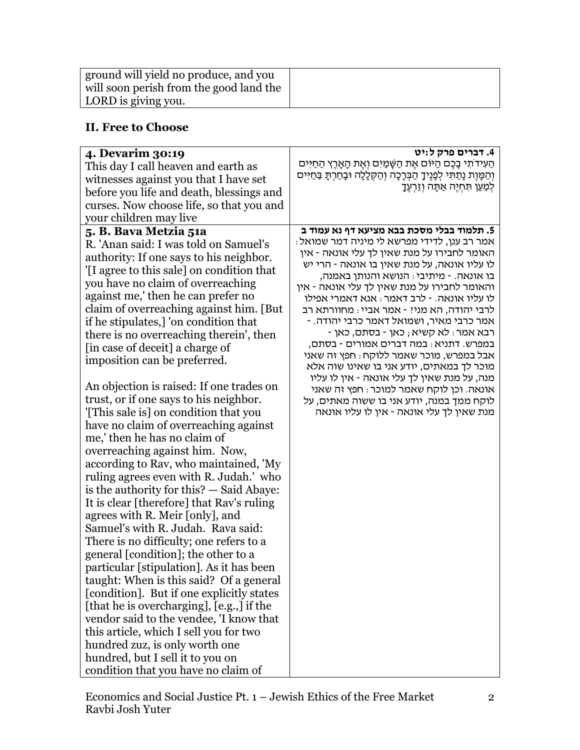| ground will yield no produce, and you   |  |
|-----------------------------------------|--|
| will soon perish from the good land the |  |
| LORD is giving you.                     |  |

## **II. Free to Choose**

| 4. Devarim 30:19                                                                                                                                                                                                                                                                                                                                                                                                                                                                                                                                                                                                                                                                                                                                                                                                                                                                                                                                                                                                                                                                                                                                                                                                                                                                                                        | 4. דברים פרק ל:יט<br>הַעִידֹתִי בָּבֵם הַיּוֹם אֶת הַשָּׁמַיִם וְאֶת הָאָרֶץ הַחַיִּים                                                                                                                                                                                                                                                                                                                                                                                                                                                                                                                                                                                                                                                                                                           |
|-------------------------------------------------------------------------------------------------------------------------------------------------------------------------------------------------------------------------------------------------------------------------------------------------------------------------------------------------------------------------------------------------------------------------------------------------------------------------------------------------------------------------------------------------------------------------------------------------------------------------------------------------------------------------------------------------------------------------------------------------------------------------------------------------------------------------------------------------------------------------------------------------------------------------------------------------------------------------------------------------------------------------------------------------------------------------------------------------------------------------------------------------------------------------------------------------------------------------------------------------------------------------------------------------------------------------|--------------------------------------------------------------------------------------------------------------------------------------------------------------------------------------------------------------------------------------------------------------------------------------------------------------------------------------------------------------------------------------------------------------------------------------------------------------------------------------------------------------------------------------------------------------------------------------------------------------------------------------------------------------------------------------------------------------------------------------------------------------------------------------------------|
| This day I call heaven and earth as                                                                                                                                                                                                                                                                                                                                                                                                                                                                                                                                                                                                                                                                                                                                                                                                                                                                                                                                                                                                                                                                                                                                                                                                                                                                                     | וְהַמְּוֶת נָתַתִּי לְפָנֶיךָ הַבְּרָכָה וְהַקְלָלָה וּבָחַרְתָּ בַּחַיִּים                                                                                                                                                                                                                                                                                                                                                                                                                                                                                                                                                                                                                                                                                                                      |
| witnesses against you that I have set                                                                                                                                                                                                                                                                                                                                                                                                                                                                                                                                                                                                                                                                                                                                                                                                                                                                                                                                                                                                                                                                                                                                                                                                                                                                                   | לְמַעַן תּחְיֶה אַתָּה וְזַרְעֶךָ                                                                                                                                                                                                                                                                                                                                                                                                                                                                                                                                                                                                                                                                                                                                                                |
| before you life and death, blessings and                                                                                                                                                                                                                                                                                                                                                                                                                                                                                                                                                                                                                                                                                                                                                                                                                                                                                                                                                                                                                                                                                                                                                                                                                                                                                |                                                                                                                                                                                                                                                                                                                                                                                                                                                                                                                                                                                                                                                                                                                                                                                                  |
|                                                                                                                                                                                                                                                                                                                                                                                                                                                                                                                                                                                                                                                                                                                                                                                                                                                                                                                                                                                                                                                                                                                                                                                                                                                                                                                         |                                                                                                                                                                                                                                                                                                                                                                                                                                                                                                                                                                                                                                                                                                                                                                                                  |
|                                                                                                                                                                                                                                                                                                                                                                                                                                                                                                                                                                                                                                                                                                                                                                                                                                                                                                                                                                                                                                                                                                                                                                                                                                                                                                                         |                                                                                                                                                                                                                                                                                                                                                                                                                                                                                                                                                                                                                                                                                                                                                                                                  |
| curses. Now choose life, so that you and<br>your children may live<br>5. B. Bava Metzia 51a<br>R. 'Anan said: I was told on Samuel's<br>authority: If one says to his neighbor.<br>'[I agree to this sale] on condition that<br>you have no claim of overreaching<br>against me,' then he can prefer no<br>claim of overreaching against him. [But<br>if he stipulates,] 'on condition that<br>there is no overreaching therein', then<br>[in case of deceit] a charge of<br>imposition can be preferred.<br>An objection is raised: If one trades on<br>trust, or if one says to his neighbor.<br>[This sale is] on condition that you<br>have no claim of overreaching against<br>me,' then he has no claim of<br>overreaching against him. Now,<br>according to Rav, who maintained, 'My<br>ruling agrees even with R. Judah.' who<br>is the authority for this? $-$ Said Abaye:<br>It is clear [therefore] that Rav's ruling<br>agrees with R. Meir [only], and<br>Samuel's with R. Judah. Rava said:<br>There is no difficulty; one refers to a<br>general [condition]; the other to a<br>particular [stipulation]. As it has been<br>taught: When is this said? Of a general<br>[condition]. But if one explicitly states<br>[that he is overcharging], [e.g.,] if the<br>vendor said to the vendee, 'I know that | 5. תלמוד בבלי מסכת בבא מציעא דף נא עמוד ב<br>: אמר רב ענן, לדידי מפרשא לי מיניה דמר שמואל<br>האומר לחבירו על מנת שאין לך עלי אונאה - אין<br>לו עליו אונאה, על מנת שאין בו אונאה - הרי יש<br>בו אונאה. - מיתיבי : הנושא והנותן באמנה,<br>והאומר לחבירו על מנת שאין לך עלי אונאה - אין<br>לו עליו אונאה. - לרב דאמר : אנא דאמרי אפילו<br>לרבי יהודה, הא מניי - אמר אביי : מחוורתא רב<br>אמר כרבי מאיר, ושמואל דאמר כרבי יהודה. -<br>- רבא אמר : לא קשיא ; כאן - בסתם, כאן<br>במפרש. דתניא : במה דברים אמורים - בסתם,<br>אבל במפרש, מוכר שאמר ללוקח : חפץ זה שאני<br>מוכר לך במאתים, יודע אני בו שאינו שוה אלא<br>מנה, על מנת שאין לך עלי אונאה - אין לו עליו<br>אונאה. וכן לוקח שאמר למוכר : חפץ זה שאני<br>לוקח ממך במנה, יודע אני בו ששוה מאתים, על<br>מנת שאין לך עלי אונאה - אין לו עליו אונאה |
| this article, which I sell you for two                                                                                                                                                                                                                                                                                                                                                                                                                                                                                                                                                                                                                                                                                                                                                                                                                                                                                                                                                                                                                                                                                                                                                                                                                                                                                  |                                                                                                                                                                                                                                                                                                                                                                                                                                                                                                                                                                                                                                                                                                                                                                                                  |
| hundred zuz, is only worth one                                                                                                                                                                                                                                                                                                                                                                                                                                                                                                                                                                                                                                                                                                                                                                                                                                                                                                                                                                                                                                                                                                                                                                                                                                                                                          |                                                                                                                                                                                                                                                                                                                                                                                                                                                                                                                                                                                                                                                                                                                                                                                                  |
| hundred, but I sell it to you on                                                                                                                                                                                                                                                                                                                                                                                                                                                                                                                                                                                                                                                                                                                                                                                                                                                                                                                                                                                                                                                                                                                                                                                                                                                                                        |                                                                                                                                                                                                                                                                                                                                                                                                                                                                                                                                                                                                                                                                                                                                                                                                  |
| condition that you have no claim of                                                                                                                                                                                                                                                                                                                                                                                                                                                                                                                                                                                                                                                                                                                                                                                                                                                                                                                                                                                                                                                                                                                                                                                                                                                                                     |                                                                                                                                                                                                                                                                                                                                                                                                                                                                                                                                                                                                                                                                                                                                                                                                  |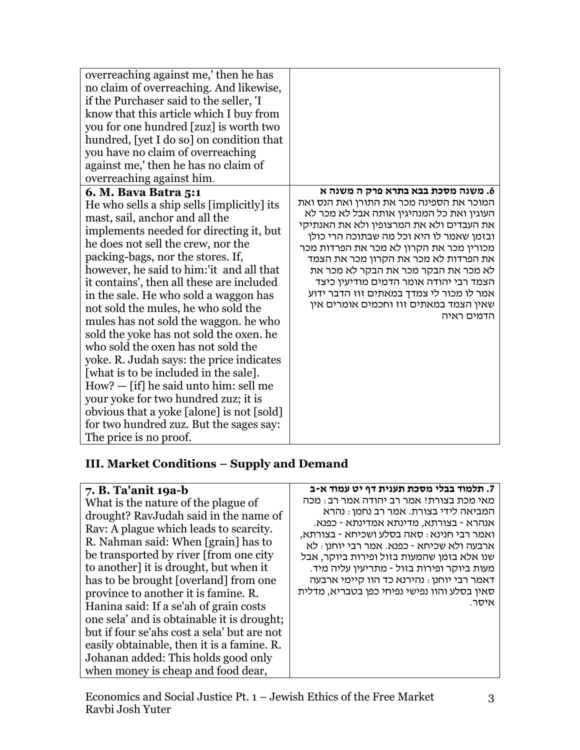### **III. Market Conditions – Supply and Demand**

#### **7. B. Ta'anit 19a-b**

What is the nature of the plague of drought? RavJudah said in the name of Rav: A plague which leads to scarcity. R. Nahman said: When [grain] has to be transported by river [from one city to another] it is drought, but when it has to be brought [overland] from one province to another it is famine. R. Hanina said: If a se'ah of grain costs one sela' and is obtainable it is drought; but if four se'ahs cost a sela' but are not easily obtainable, then it is a famine. R. Johanan added: This holds good only when money is cheap and food dear,

#### **.7 תלמוד בבלי מסכת תענית דף יט עמוד א-ב**

מאי מכת בצורת? אמר רב יהודה אמר רב: מכה המביאה לידי בצורת. אמר רב נחמן: נהרא אנהרא - בצורתא, מדינתא אמדינתא - כפנא. ואמר רבי חנינא: סאה בסלע ושכיחא - בצורתא, ארבעה ולא שכיחא - כפנא. אמר רבי יוחנן: לא שנו אלא בזמן שהמעות בזול ופירות ביוקר, אבל מעות ביוקר ופירות בזול - מתריעין עליה מיד. דאמר רבי יוחנן: נהירנא כד הוו קיימי ארבעה סאין בסלע והוו נפישי נפיחי כפן בטבריא, מדלית איסר.